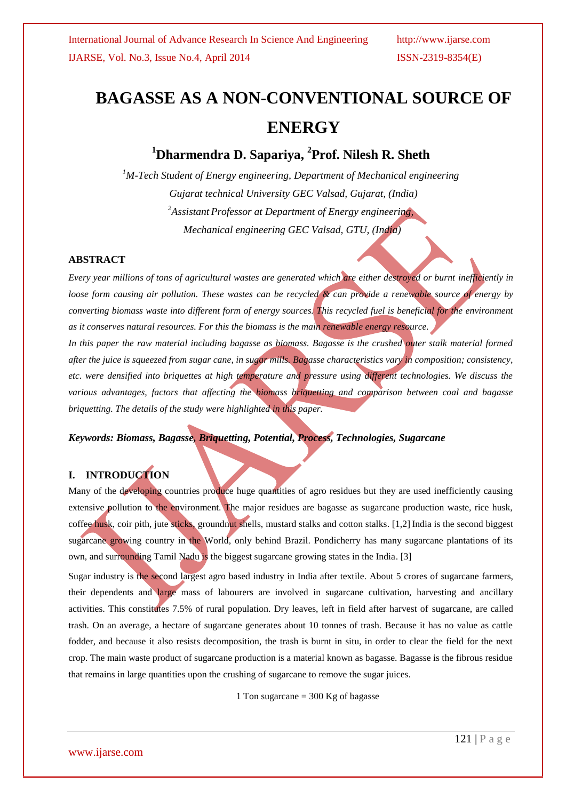# **BAGASSE AS A NON-CONVENTIONAL SOURCE OF ENERGY**

# **<sup>1</sup>Dharmendra D. Sapariya, 2 Prof. Nilesh R. Sheth**

*<sup>1</sup>M-Tech Student of Energy engineering, Department of Mechanical engineering Gujarat technical University GEC Valsad, Gujarat, (India) <sup>2</sup>Assistant Professor at Department of Energy engineering, Mechanical engineering GEC Valsad, GTU, (India)*

#### **ABSTRACT**

*Every year millions of tons of agricultural wastes are generated which are either destroyed or burnt inefficiently in loose form causing air pollution. These wastes can be recycled & can provide a renewable source of energy by converting biomass waste into different form of energy sources. This recycled fuel is beneficial for the environment as it conserves natural resources. For this the biomass is the main renewable energy resource.* In this paper the raw material including bagasse as biomass. Bagasse is the crushed outer stalk material formed

*after the juice is squeezed from sugar cane, in sugar mills. Bagasse characteristics vary in composition; consistency, etc. were densified into briquettes at high temperature and pressure using different technologies. We discuss the various advantages, factors that affecting the biomass briquetting and comparison between coal and bagasse briquetting. The details of the study were highlighted in this paper.*

#### *Keywords: Biomass, Bagasse, Briquetting, Potential, Process, Technologies, Sugarcane*

### **I. INTRODUCTION**

Many of the developing countries produce huge quantities of agro residues but they are used inefficiently causing extensive pollution to the environment. The major residues are bagasse as sugarcane production waste, rice husk, coffee husk, coir pith, jute sticks, groundnut shells, mustard stalks and cotton stalks. [1,2] India is the second biggest sugarcane growing country in the World, only behind Brazil. Pondicherry has many sugarcane plantations of its own, and surrounding Tamil Nadu is the biggest sugarcane growing states in the India. [3]

Sugar industry is the second largest agro based industry in India after textile. About 5 crores of sugarcane farmers, their dependents and large mass of labourers are involved in sugarcane cultivation, harvesting and ancillary activities. This constitutes 7.5% of rural population. Dry leaves, left in field after harvest of sugarcane, are called trash. On an average, a hectare of sugarcane generates about 10 tonnes of trash. Because it has no value as cattle fodder, and because it also resists decomposition, the trash is burnt in situ, in order to clear the field for the next crop. The main waste product of sugarcane production is a material known as bagasse. Bagasse is the fibrous residue that remains in large quantities upon the crushing of sugarcane to remove the sugar juices.

1 Ton sugarcane  $=$  300 Kg of bagasse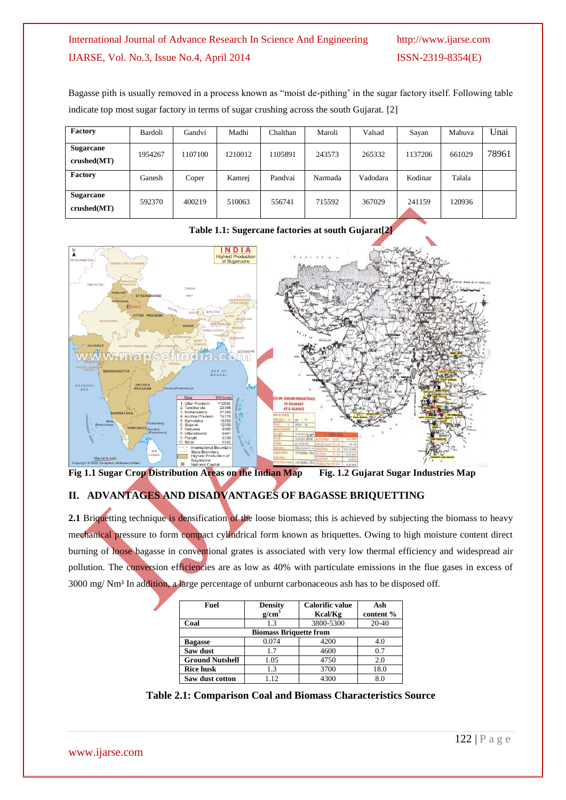Bagasse pith is usually removed in a process known as "moist de-pithing' in the sugar factory itself. Following table indicate top most sugar factory in terms of sugar crushing across the south Gujarat. [2]

| Factory                         | Bardoli | Gandvi  | Madhi   | Chalthan | Maroli  | Valsad   | Sayan   | Mahuva | Unai  |
|---------------------------------|---------|---------|---------|----------|---------|----------|---------|--------|-------|
| <b>Sugarcane</b><br>crushed(MT) | 1954267 | 1107100 | 1210012 | 1105891  | 243573  | 265332   | 1137206 | 661029 | 78961 |
| <b>Factory</b>                  | Ganesh  | Coper   | Kamrej  | Pandvai  | Narmada | Vadodara | Kodinar | Talala |       |
| <b>Sugarcane</b><br>crushed(MT) | 592370  | 400219  | 510063  | 556741   | 715592  | 367029   | 241159  | 120936 |       |





**Fig 1.1 Sugar Crop Distribution Areas on the Indian Map Fig. 1.2 Gujarat Sugar Industries Map** 

# **II. ADVANTAGES AND DISADVANTAGES OF BAGASSE BRIQUETTING**

**2.1** Briquetting technique is densification of the loose biomass; this is achieved by subjecting the biomass to heavy mechanical pressure to form compact cylindrical form known as briquettes. Owing to high moisture content direct burning of loose bagasse in conventional grates is associated with very low thermal efficiency and widespread air pollution. The conversion efficiencies are as low as 40% with particulate emissions in the flue gases in excess of 3000 mg/ Nm³ In addition, a large percentage of unburnt carbonaceous ash has to be disposed off.

| Fuel                   | <b>Density</b><br>g/cm <sup>3</sup> | <b>Calorific value</b><br>Kcal/Kg | Ash<br>content % |  |  |
|------------------------|-------------------------------------|-----------------------------------|------------------|--|--|
| Coal                   | 1.3                                 | 3800-5300                         | $20 - 40$        |  |  |
|                        | <b>Biomass Briquette from</b>       |                                   |                  |  |  |
| <b>Bagasse</b>         | 0.074                               | 4200                              | 4.0              |  |  |
| Saw dust               | 1.7                                 | 4600                              | 0.7              |  |  |
| <b>Ground Nutshell</b> | 1.05                                | 4750                              | 2.0              |  |  |
| <b>Rice husk</b>       | 1.3                                 | 3700                              | 18.0             |  |  |
| Saw dust cotton        | 1.12                                | 4300                              | 8.0              |  |  |

**Table 2.1: Comparison Coal and Biomass Characteristics Source**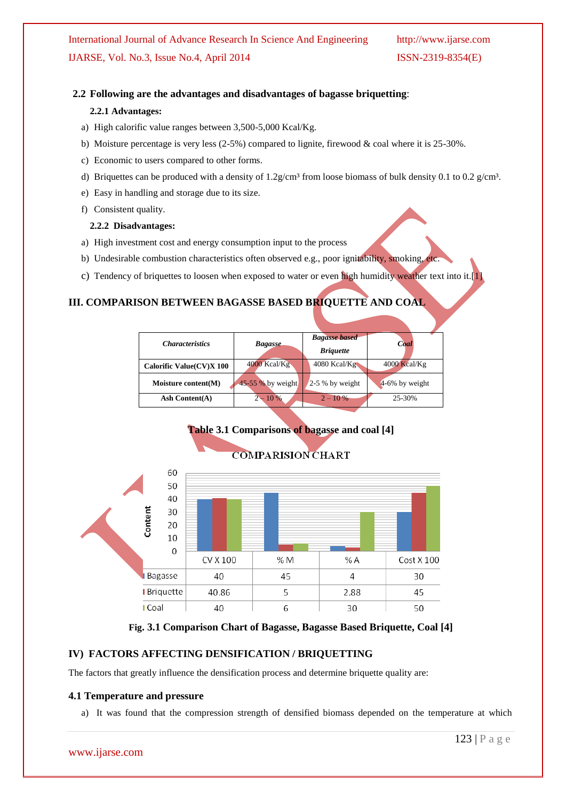#### **2.2 Following are the advantages and disadvantages of bagasse briquetting**:

#### **2.2.1 Advantages:**

- a) High calorific value ranges between 3,500-5,000 Kcal/Kg.
- b) Moisture percentage is very less (2-5%) compared to lignite, firewood & coal where it is 25-30%.
- c) Economic to users compared to other forms.
- d) Briquettes can be produced with a density of  $1.2$  g/cm<sup>3</sup> from loose biomass of bulk density 0.1 to 0.2 g/cm<sup>3</sup>.
- e) Easy in handling and storage due to its size.
- f) Consistent quality.

#### **2.2.2 Disadvantages:**

- a) High investment cost and energy consumption input to the process
- b) Undesirable combustion characteristics often observed e.g., poor ignitability, smoking, etc.
- c) Tendency of briquettes to loosen when exposed to water or even high humidity weather text into it.[1]

#### **III. COMPARISON BETWEEN BAGASSE BASED BRIQUETTE AND COAL**

| <i><b>Characteristics</b></i> | <b>Bagasse</b>    | <b>Bagasse based</b><br><b>Briquette</b> | Coal           |
|-------------------------------|-------------------|------------------------------------------|----------------|
| Calorific Value(CV)X 100      | 4000 Kcal/Kg      | $4080$ Kcal/Kg                           | $4000$ Kcal/Kg |
| Moisture content(M)           | 45-55 % by weight | $2-5%$ by weight                         | 4-6% by weight |
| Ash Content $(A)$             | $2 - 10\%$        | $2 - 10\%$                               | 25-30%         |



#### **Fig. 3.1 Comparison Chart of Bagasse, Bagasse Based Briquette, Coal [4]**

#### **IV) FACTORS AFFECTING DENSIFICATION / BRIQUETTING**

The factors that greatly influence the densification process and determine briquette quality are:

#### **4.1 Temperature and pressure**

a) It was found that the compression strength of densified biomass depended on the temperature at which

# **COMPARISION CHART**

**Table 3.1 Comparisons of bagasse and coal [4]**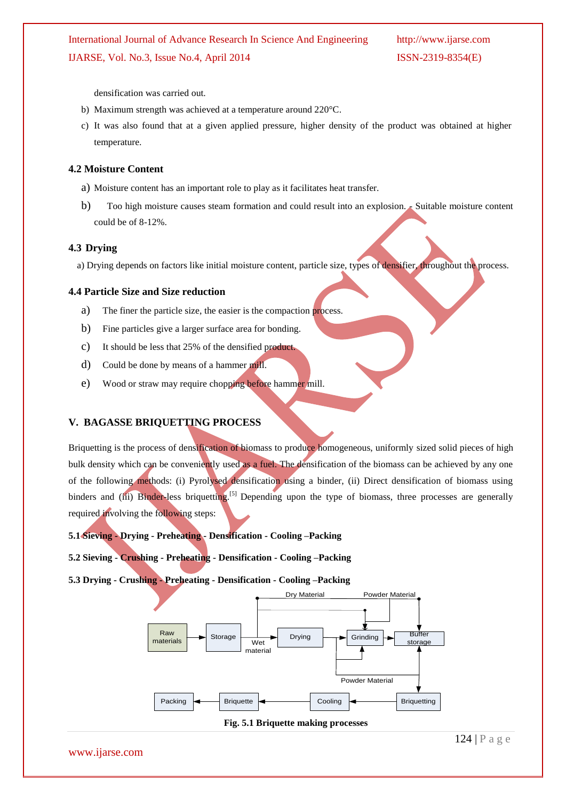densification was carried out.

- b) Maximum strength was achieved at a temperature around 220°C.
- c) It was also found that at a given applied pressure, higher density of the product was obtained at higher temperature.

## **4.2 Moisture Content**

- a) Moisture content has an important role to play as it facilitates heat transfer.
- b) Too high moisture causes steam formation and could result into an explosion. Suitable moisture content could be of 8-12%.

### **4.3 Drying**

a) Drying depends on factors like initial moisture content, particle size, types of densifier, throughout the process.

### **4.4 Particle Size and Size reduction**

- a) The finer the particle size, the easier is the compaction process.
- b) Fine particles give a larger surface area for bonding.
- c) It should be less that 25% of the densified product.
- d) Could be done by means of a hammer mill.
- e) Wood or straw may require chopping before hammer mill.

# **V. BAGASSE BRIQUETTING PROCESS**

Briquetting is the process of densification of biomass to produce homogeneous, uniformly sized solid pieces of high bulk density which can be conveniently used as a fuel. The densification of the biomass can be achieved by any one of the following methods: (i) Pyrolysed densification using a binder, (ii) Direct densification of biomass using binders and (iii) Binder-less briquetting.<sup>[5]</sup> Depending upon the type of biomass, three processes are generally required involving the following steps:

**5.1 Sieving - Drying - Preheating - Densification - Cooling –Packing** 

**5.2 Sieving - Crushing - Preheating - Densification - Cooling –Packing**

**5.3 Drying - Crushing - Preheating - Densification - Cooling –Packing** 





www.ijarse.com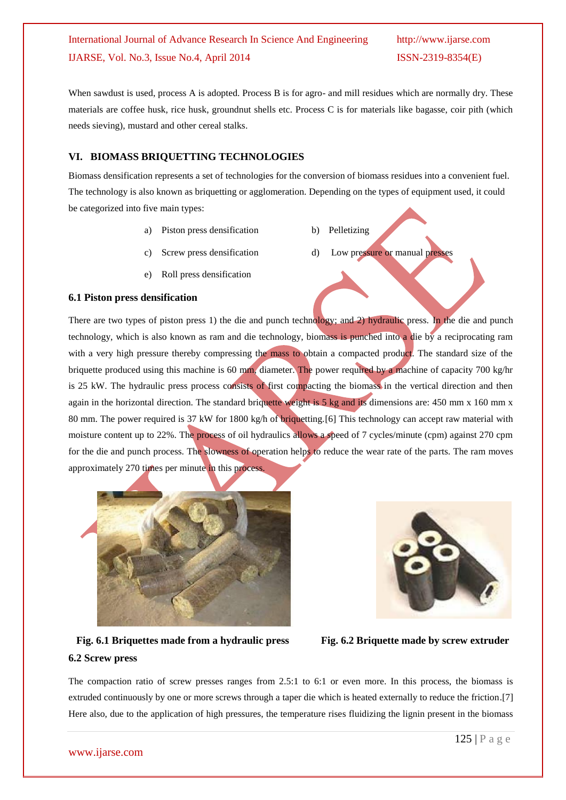When sawdust is used, process A is adopted. Process B is for agro- and mill residues which are normally dry. These materials are coffee husk, rice husk, groundnut shells etc. Process C is for materials like bagasse, coir pith (which needs sieving), mustard and other cereal stalks.

#### **VI. BIOMASS BRIQUETTING TECHNOLOGIES**

Biomass densification represents a set of technologies for the conversion of biomass residues into a convenient fuel. The technology is also known as briquetting or agglomeration. Depending on the types of equipment used, it could be categorized into five main types:

- a) Piston press densification b) Pelletizing
	-
- Screw press densification d) Low pressure or manual presses
- e) Roll press densification

#### **6.1 Piston press densification**

There are two types of piston press 1) the die and punch technology; and 2) hydraulic press. In the die and punch technology, which is also known as ram and die technology, biomass is punched into a die by a reciprocating ram with a very high pressure thereby compressing the mass to obtain a compacted product. The standard size of the briquette produced using this machine is 60 mm, diameter. The power required by a machine of capacity 700 kg/hr is 25 kW. The hydraulic press process consists of first compacting the biomass in the vertical direction and then again in the horizontal direction. The standard briquette weight is 5 kg and its dimensions are: 450 mm x 160 mm x 80 mm. The power required is 37 kW for 1800 kg/h of briquetting.[6] This technology can accept raw material with moisture content up to 22%. The process of oil hydraulics allows a speed of 7 cycles/minute (cpm) against 270 cpm for the die and punch process. The slowness of operation helps to reduce the wear rate of the parts. The ram moves approximately 270 times per minute in this process.





 **Fig. 6.1 Briquettes made from a hydraulic press Fig. 6.2 Briquette made by screw extruder 6.2 Screw press** 

The compaction ratio of screw presses ranges from 2.5:1 to 6:1 or even more. In this process, the biomass is extruded continuously by one or more screws through a taper die which is heated externally to reduce the friction.[7] Here also, due to the application of high pressures, the temperature rises fluidizing the lignin present in the biomass

#### www.ijarse.com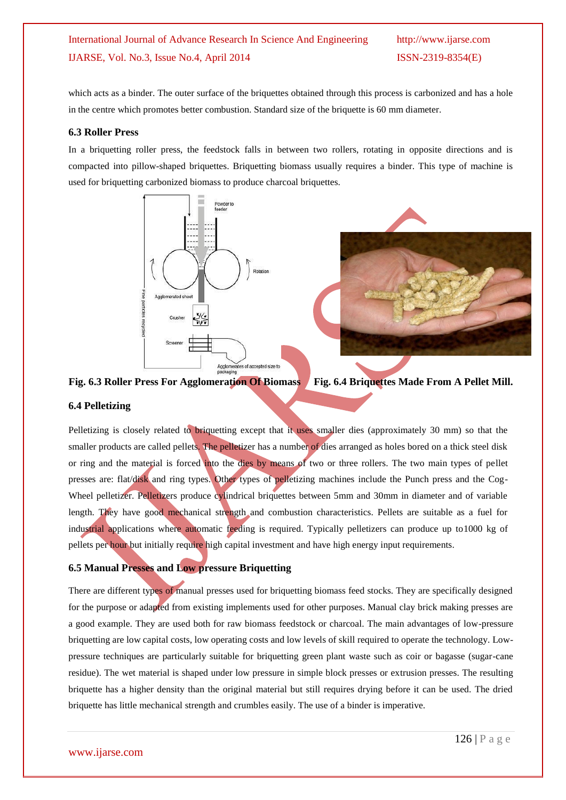which acts as a binder. The outer surface of the briquettes obtained through this process is carbonized and has a hole in the centre which promotes better combustion. Standard size of the briquette is 60 mm diameter.

#### **6.3 Roller Press**

In a briquetting roller press, the feedstock falls in between two rollers, rotating in opposite directions and is compacted into pillow-shaped briquettes. Briquetting biomass usually requires a binder. This type of machine is used for briquetting carbonized biomass to produce charcoal briquettes.





**Fig. 6.3 Roller Press For Agglomeration Of Biomass Fig. 6.4 Briquettes Made From A Pellet Mill.**

#### **6.4 Pelletizing**

Pelletizing is closely related to briquetting except that it uses smaller dies (approximately 30 mm) so that the smaller products are called pellets. The pelletizer has a number of dies arranged as holes bored on a thick steel disk or ring and the material is forced into the dies by means of two or three rollers. The two main types of pellet presses are: flat/disk and ring types. Other types of pelletizing machines include the Punch press and the Cog-Wheel pelletizer. Pelletizers produce cylindrical briquettes between 5mm and 30mm in diameter and of variable length. They have good mechanical strength and combustion characteristics. Pellets are suitable as a fuel for industrial applications where automatic feeding is required. Typically pelletizers can produce up to1000 kg of pellets per hour but initially require high capital investment and have high energy input requirements.

#### **6.5 Manual Presses and Low pressure Briquetting**

There are different types of manual presses used for briquetting biomass feed stocks. They are specifically designed for the purpose or adapted from existing implements used for other purposes. Manual clay brick making presses are a good example. They are used both for raw biomass feedstock or charcoal. The main advantages of low-pressure briquetting are low capital costs, low operating costs and low levels of skill required to operate the technology. Lowpressure techniques are particularly suitable for briquetting green plant waste such as coir or bagasse (sugar-cane residue). The wet material is shaped under low pressure in simple block presses or extrusion presses. The resulting briquette has a higher density than the original material but still requires drying before it can be used. The dried briquette has little mechanical strength and crumbles easily. The use of a binder is imperative.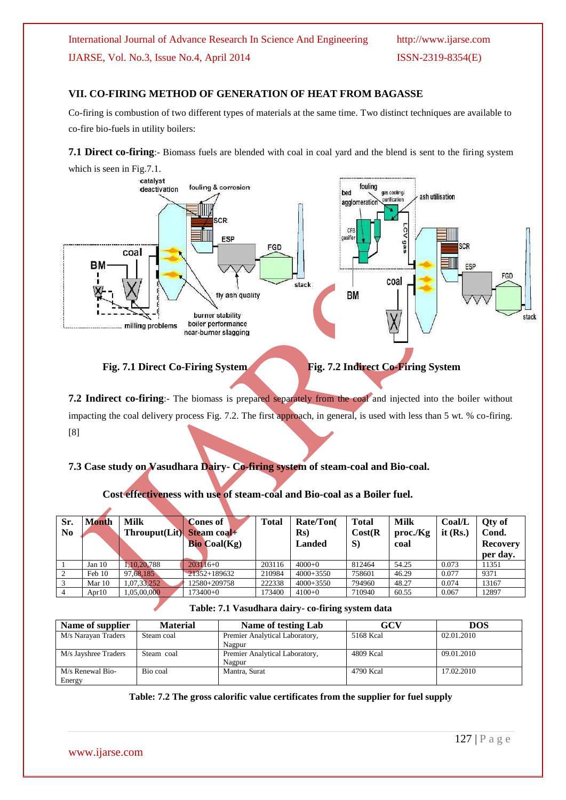#### **VII. CO-FIRING METHOD OF GENERATION OF HEAT FROM BAGASSE**

Co-firing is [combustion](http://en.wikipedia.org/wiki/Combustion) of two different types of materials at the same time. Two distinct techniques are available to co-fire bio-fuels in utility boilers:

**7.1 Direct co-firing**:- Biomass fuels are blended with coal in coal yard and the blend is sent to the firing system





Fig. 7.1 Direct Co-Firing System Fig. 7.2 Indirect Co-Firing System

**7.2 Indirect co-firing**:- The biomass is prepared separately from the coal and injected into the boiler without impacting the coal delivery process Fig. 7.2. The first approach, in general, is used with less than 5 wt. % co-firing. [8]

#### **7.3 Case study on Vasudhara Dairy- Co-firing system of steam-coal and Bio-coal.**

**Cost effectiveness with use of steam-coal and Bio-coal as a Boiler fuel.**

| Sr.<br>N <sub>0</sub> | Month    | <b>Milk</b><br>Throuput(Lit) | Cones of<br>Steam coal+<br><b>Bio Coal(Kg)</b> | Total  | Rate/Ton(<br>Rs)<br><b>Landed</b> | <b>Total</b><br>Cost(R)<br>S) | <b>Milk</b><br>proc/Kg<br>coal | Coal/L<br>it $(Rs.)$ | Qty of<br>Cond.<br><b>Recovery</b><br>per day. |
|-----------------------|----------|------------------------------|------------------------------------------------|--------|-----------------------------------|-------------------------------|--------------------------------|----------------------|------------------------------------------------|
|                       | Jan $10$ | 10.20.788                    | $203116+0$                                     | 203116 | $4000+0$                          | 812464                        | 54.25                          | 0.073                | 11351                                          |
|                       | Feb 10   | 97.68.185                    | 21352+189632                                   | 210984 | $4000+3550$                       | 758601                        | 46.29                          | 0.077                | 9371                                           |
|                       | Mar $10$ | 1.07.33.252                  | 12580+209758                                   | 222338 | $4000+3550$                       | 794960                        | 48.27                          | 0.074                | 13167                                          |
|                       | Apr $10$ | 05,00,000                    | 173400+0                                       | 173400 | $4100+0$                          | 710940                        | 60.55                          | 0.067                | 12897                                          |

| Name of supplier     | <b>Material</b> | Name of testing Lab            | GCV       | <b>DOS</b> |
|----------------------|-----------------|--------------------------------|-----------|------------|
| M/s Narayan Traders  | Steam coal      | Premier Analytical Laboratory, | 5168 Kcal | 02.01.2010 |
|                      |                 | Nagpur                         |           |            |
| M/s Jayshree Traders | Steam coal      | Premier Analytical Laboratory, | 4809 Kcal | 09.01.2010 |
|                      |                 | Nagpur                         |           |            |
| M/s Renewal Bio-     | Bio coal        | Mantra, Surat                  | 4790 Kcal | 17.02.2010 |
| Energy               |                 |                                |           |            |

www.ijarse.com

127 | P a g e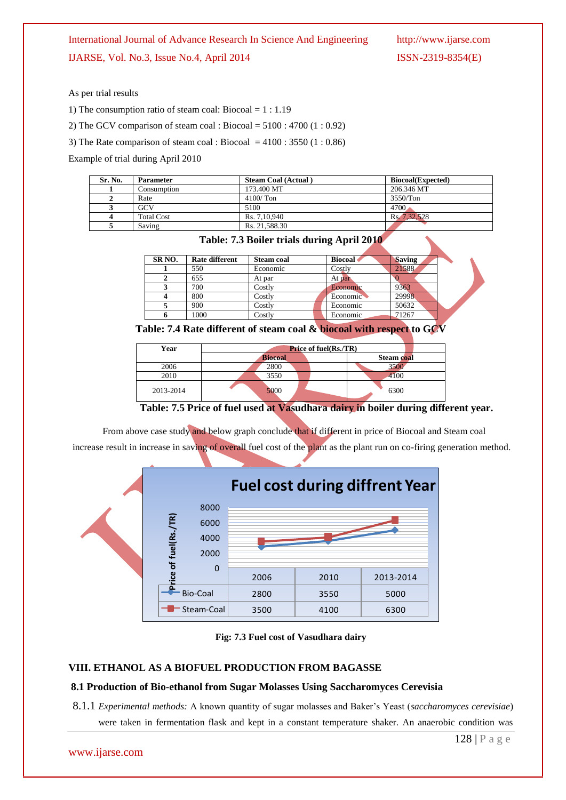#### International Journal of Advance Research In Science And Engineering http://www.ijarse.com

IJARSE, Vol. No.3, Issue No.4, April 2014 ISSN-2319-8354(E)

As per trial results

1) The consumption ratio of steam coal: Biocoal = 1 : 1.19

2) The GCV comparison of steam coal : Biocoal =  $5100 : 4700 (1 : 0.92)$ 

3) The Rate comparison of steam coal : Biocoal =  $4100$  : 3550 (1 : 0.86)

Example of trial during April 2010

| Sr. No. | <b>Parameter</b>  | <b>Steam Coal (Actual)</b> | <b>Biocoal</b> (Expected) |
|---------|-------------------|----------------------------|---------------------------|
|         | Consumption       | 173.400 MT                 | 206.346 MT                |
|         | Rate              | $4100/$ Ton                | 3550/Ton                  |
|         | GCV               | 5100                       | 4700                      |
|         | <b>Total Cost</b> | Rs. 7.10.940               | Rs. 7.32.528              |
|         | Saving            | Rs. 21.588.30              |                           |



| SR <sub>NO</sub> . | Rate different | <b>Steam coal</b> | <b>Biocoal</b> | <b>Saving</b> |  |
|--------------------|----------------|-------------------|----------------|---------------|--|
|                    | 550            | Economic          | Costly         | 21588         |  |
|                    | 655            | At par            | At par         |               |  |
|                    | 700            | Costlv            | Economic       | 9363          |  |
|                    | 800            | Costlv            | Economic       | 29998         |  |
|                    | 900            | Costlv            | Economic       | 50632         |  |
|                    | 1000           | Costly            | Economic       | 71267         |  |

**Table: 7.4 Rate different of steam coal & biocoal with respect to GCV**

| Year      | <b>Price of fuel(Rs./TR)</b> |            |  |  |  |
|-----------|------------------------------|------------|--|--|--|
|           | <b>Biocoal</b>               | Steam coal |  |  |  |
| 2006      | 2800                         | 3500       |  |  |  |
| 2010      | 3550                         | 4100       |  |  |  |
| 2013-2014 | 5000                         | 6300       |  |  |  |

**Table: 7.5 Price of fuel used at Vasudhara dairy in boiler during different year.**

From above case study and below graph conclude that if different in price of Biocoal and Steam coal increase result in increase in saving of overall fuel cost of the plant as the plant run on co-firing generation method.



**Fig: 7.3 Fuel cost of Vasudhara dairy**

#### **VIII. ETHANOL AS A BIOFUEL PRODUCTION FROM BAGASSE**

#### **8.1 Production of Bio-ethanol from Sugar Molasses Using Saccharomyces Cerevisia**

8.1.1 *Experimental methods:* A known quantity of sugar molasses and Baker's Yeast (*saccharomyces cerevisiae*) were taken in fermentation flask and kept in a constant temperature shaker. An anaerobic condition was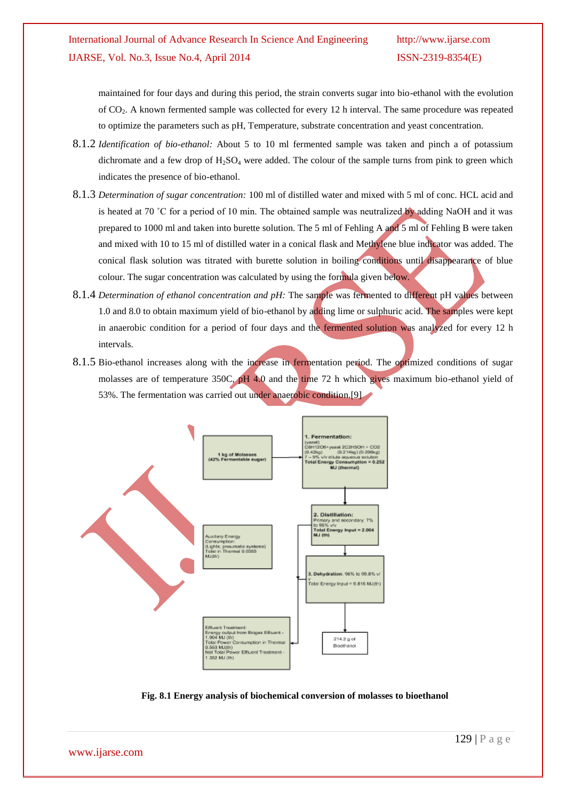maintained for four days and during this period, the strain converts sugar into bio-ethanol with the evolution of CO2. A known fermented sample was collected for every 12 h interval. The same procedure was repeated to optimize the parameters such as pH, Temperature, substrate concentration and yeast concentration.

- 8.1.2 *Identification of bio-ethanol:* About 5 to 10 ml fermented sample was taken and pinch a of potassium dichromate and a few drop of  $H_2SO_4$  were added. The colour of the sample turns from pink to green which indicates the presence of bio-ethanol.
- 8.1.3 *Determination of sugar concentration:* 100 ml of distilled water and mixed with 5 ml of conc. HCL acid and is heated at 70 °C for a period of 10 min. The obtained sample was neutralized by adding NaOH and it was prepared to 1000 ml and taken into burette solution. The 5 ml of Fehling A and 5 ml of Fehling B were taken and mixed with 10 to 15 ml of distilled water in a conical flask and Methylene blue indicator was added. The conical flask solution was titrated with burette solution in boiling conditions until disappearance of blue colour. The sugar concentration was calculated by using the formula given below.
- 8.1.4 *Determination of ethanol concentration and pH:* The sample was fermented to different pH values between 1.0 and 8.0 to obtain maximum yield of bio-ethanol by adding lime or sulphuric acid. The samples were kept in anaerobic condition for a period of four days and the fermented solution was analyzed for every 12 h intervals.
- 8.1.5 Bio-ethanol increases along with the increase in fermentation period. The optimized conditions of sugar molasses are of temperature 350C,  $\rho$ H 4.0 and the time 72 h which gives maximum bio-ethanol yield of 53%. The fermentation was carried out under anaerobic condition.[9]



**Fig. 8.1 Energy analysis of biochemical conversion of molasses to bioethanol**

www.ijarse.com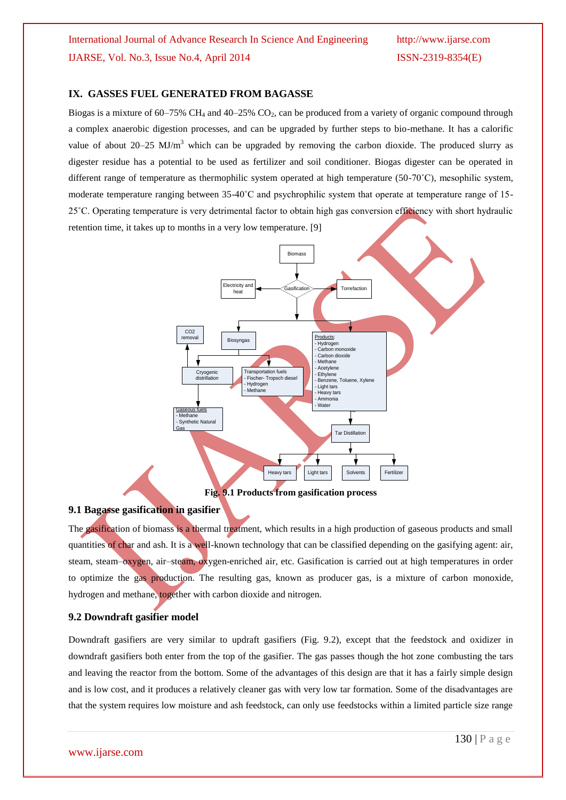#### **IX. GASSES FUEL GENERATED FROM BAGASSE**

Biogas is a mixture of 60–75% CH<sub>4</sub> and 40–25% CO<sub>2</sub>, can be produced from a variety of organic compound through a complex anaerobic digestion processes, and can be upgraded by further steps to bio-methane. It has a calorific value of about  $20-25$  MJ/m<sup>3</sup> which can be upgraded by removing the carbon dioxide. The produced slurry as digester residue has a potential to be used as fertilizer and soil conditioner. Biogas digester can be operated in different range of temperature as thermophilic system operated at high temperature (50-70˚C), mesophilic system, moderate temperature ranging between 35-40˚C and psychrophilic system that operate at temperature range of 15- 25˚C. Operating temperature is very detrimental factor to obtain high gas conversion efficiency with short hydraulic retention time, it takes up to months in a very low temperature. [9]



#### **9.1 Bagasse gasification in gasifier**

The gasification of biomass is a thermal treatment, which results in a high production of gaseous products and small quantities of char and ash. It is a well-known technology that can be classified depending on the gasifying agent: air, steam, steam–oxygen, air–steam, oxygen-enriched air, etc. Gasification is carried out at high temperatures in order to optimize the gas production. The resulting gas, known as producer gas, is a mixture of carbon monoxide, hydrogen and methane, together with carbon dioxide and nitrogen.

#### **9.2 Downdraft gasifier model**

Downdraft gasifiers are very similar to updraft gasifiers (Fig. 9.2), except that the feedstock and oxidizer in downdraft gasifiers both enter from the top of the gasifier. The gas passes though the hot zone combusting the tars and leaving the reactor from the bottom. Some of the advantages of this design are that it has a fairly simple design and is low cost, and it produces a relatively cleaner gas with very low tar formation. Some of the disadvantages are that the system requires low moisture and ash feedstock, can only use feedstocks within a limited particle size range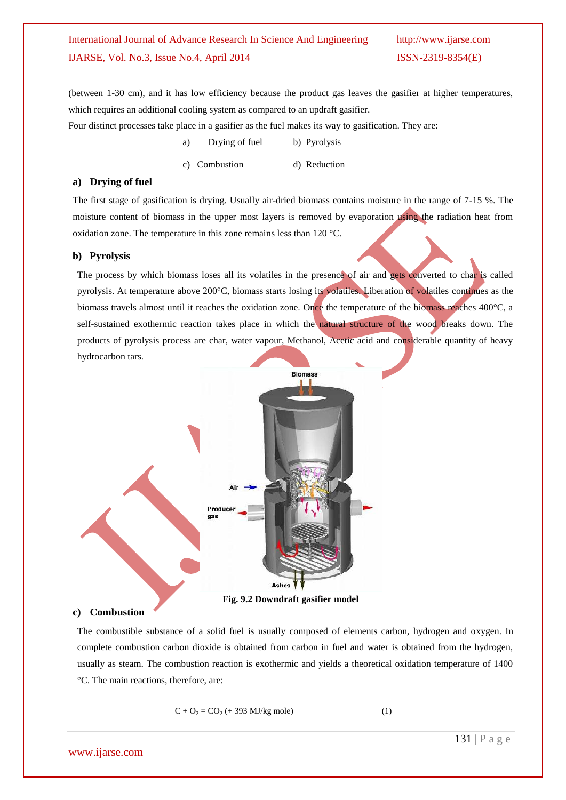(between 1-30 cm), and it has low efficiency because the product gas leaves the gasifier at higher temperatures, which requires an additional cooling system as compared to an updraft gasifier.

Four distinct processes take place in a gasifier as the fuel makes its way to gasification. They are:

- a) Drying of fuel b) Pyrolysis
- c) Combustion d) Reduction

#### **a) Drying of fuel**

The first stage of gasification is drying. Usually air-dried biomass contains moisture in the range of 7-15 %. The moisture content of biomass in the upper most layers is removed by evaporation using the radiation heat from oxidation zone. The temperature in this zone remains less than 120 °C.

#### **b) Pyrolysis**

The process by which biomass loses all its volatiles in the presence of air and gets converted to char is called pyrolysis. At temperature above 200°C, biomass starts losing its volatiles. Liberation of volatiles continues as the biomass travels almost until it reaches the oxidation zone. Once the temperature of the biomass reaches 400°C, a self-sustained exothermic reaction takes place in which the natural structure of the wood breaks down. The products of pyrolysis process are char, water vapour, Methanol, Acetic acid and considerable quantity of heavy hydrocarbon tars.



#### **c) Combustion**

The combustible substance of a solid fuel is usually composed of elements carbon, hydrogen and oxygen. In complete combustion carbon dioxide is obtained from carbon in fuel and water is obtained from the hydrogen, usually as steam. The combustion reaction is exothermic and yields a theoretical oxidation temperature of 1400 °C. The main reactions, therefore, are:

$$
C + O_2 = CO_2 \text{ (+ 393 MJ/kg mole)} \tag{1}
$$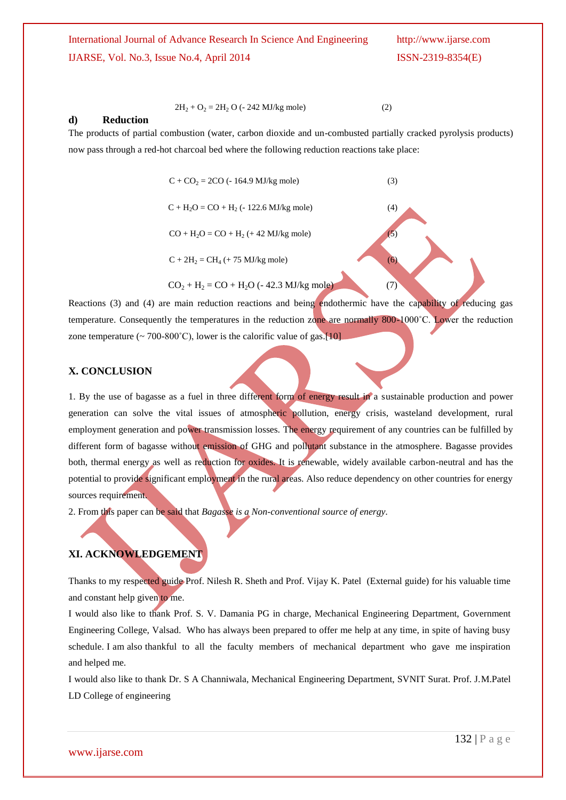#### $2H_2 + O_2 = 2H_2 O$  (- 242 MJ/kg mole) (2)

#### **d) Reduction**

The products of partial combustion (water, carbon dioxide and un-combusted partially cracked pyrolysis products) now pass through a red-hot charcoal bed where the following reduction reactions take place:

> $C + CO<sub>2</sub> = 2CO (-164.9 MJ/kg mole)$  (3)  $C + H_2O = CO + H_2$  (- 122.6 MJ/kg mole) (4)  $CO + H<sub>2</sub>O = CO + H<sub>2</sub> (+ 42 MJ/kg mole)$  (5)  $C + 2H_2 = CH_4 + 75$  MJ/kg mole) (6)  $CO_2 + H_2 = CO + H_2O$  (-42.3 MJ/kg mole) (7)

Reactions (3) and (4) are main reduction reactions and being endothermic have the capability of reducing gas temperature. Consequently the temperatures in the reduction zone are normally 800-1000˚C. Lower the reduction zone temperature ( $\sim$  700-800°C), lower is the calorific value of gas.[10]

#### **X. CONCLUSION**

1. By the use of bagasse as a fuel in three different form of energy result in a sustainable production and power generation can solve the vital issues of atmospheric pollution, energy crisis, wasteland development, rural employment generation and power transmission losses. The energy requirement of any countries can be fulfilled by different form of bagasse without emission of GHG and pollutant substance in the atmosphere. Bagasse provides both, thermal energy as well as reduction for oxides. It is renewable, widely available carbon-neutral and has the potential to provide significant employment in the rural areas. Also reduce dependency on other countries for energy sources requirement.

2. From this paper can be said that *Bagasse is a Non-conventional source of energy.*

#### **XI. ACKNOWLEDGEMENT**

Thanks to my respected guide Prof. Nilesh R. Sheth and Prof. Vijay K. Patel (External guide) for his valuable time and constant help given to me.

I would also like to thank Prof. S. V. Damania PG in charge, Mechanical Engineering Department, Government Engineering College, Valsad. Who has always been prepared to offer me help at any time, in spite of having busy schedule. I am also thankful to all the faculty members of mechanical department who gave me inspiration and helped me.

I would also like to thank Dr. S A Channiwala, Mechanical Engineering Department, SVNIT Surat. Prof. J.M.Patel LD College of engineering